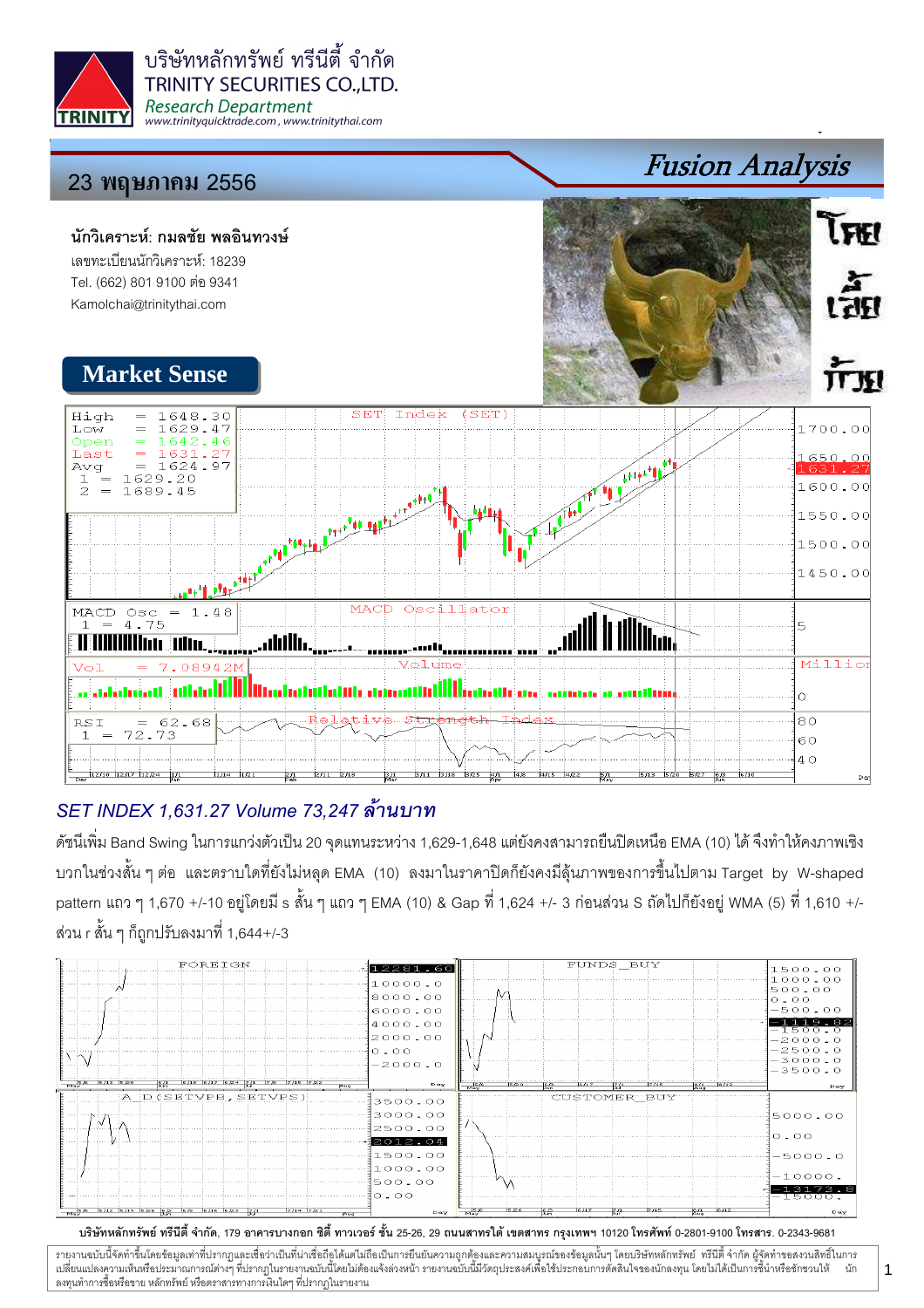



## SET INDEX 1,631.27 Volume 73,247

ดัชนีเพิ่ม Band Swing ในการแกว่งตัวเป็น 20 จุดแทนระหว่าง 1,629-1,648 แต่ยังคงสามารถยืนปิดเหนือ EMA (10) ได้ จึงทำให้คงภาพเชิง บวกในช่วงสั้น ๆ ต่อ และตราบใดที่ยังไม่หลุด EMA (10) ลงมาในราคาปิดก็ยังคงมีลุ้นภาพของการขึ้นไปตาม Target by W-shaped pattern แถว ๆ 1,670 +/-10 อยู่โดยมี s สั้น ๆ แถว ๆ EMA (10) & Gap ที่ 1,624 +/- 3 ก่อนส่วน S ถัดไปก็ยังอยู่ WMA (5) ที่ 1,610 +/-ส่วน r สั้น ๆ ก็ถูกปรับลงมาที่ 1,644+/-3



บริษัทหลักทรัพย์ ทรีนีตี้ จำกัด, 179 อาคารบางกอก ซิตี้ ทาวเวอร์ ชั้น 25-26, 29 ถนนสาทรใต้ เตตสาห กรุงเทพฯ 10120 โทรศัพท์ 0-2801-9100 โทรสาร. 0-2343-9681

รายงานฉบับนี้จัดทำขึ้นโดยข้อมูลเท่าที่ปรากฏและเชื่อว่าเป็นที่มากขึ้นตั้งเป็นก็ตะบนการตูกต้องและความสมบูรณ์ของข้อมูลนั้นๆ โดยบริษัทหลักทรัพย์ ทรีนี้ตี้จำกัด ผู้จัดทำขอสงวนสิทธิ์ในการ  $\ddot{\phantom{a}}$ เปลี่ยนแปลงความเห็นหรือประมาณการณ์ต่างๆ ที่ปรากฏในรายงานอบับนี้โดย การกระบบกันไม่ได้รับระบบการตัดสินใจของนักลงทุน โดยไม่ได้เป็นการขึ้นำหรือชักชวนให้ นัก ลงทุนทำการซื้อหรือขาย หลักทรัพย์ หรือตราสารทางการเงินใดๆ ที่ปรากฏในรายงาน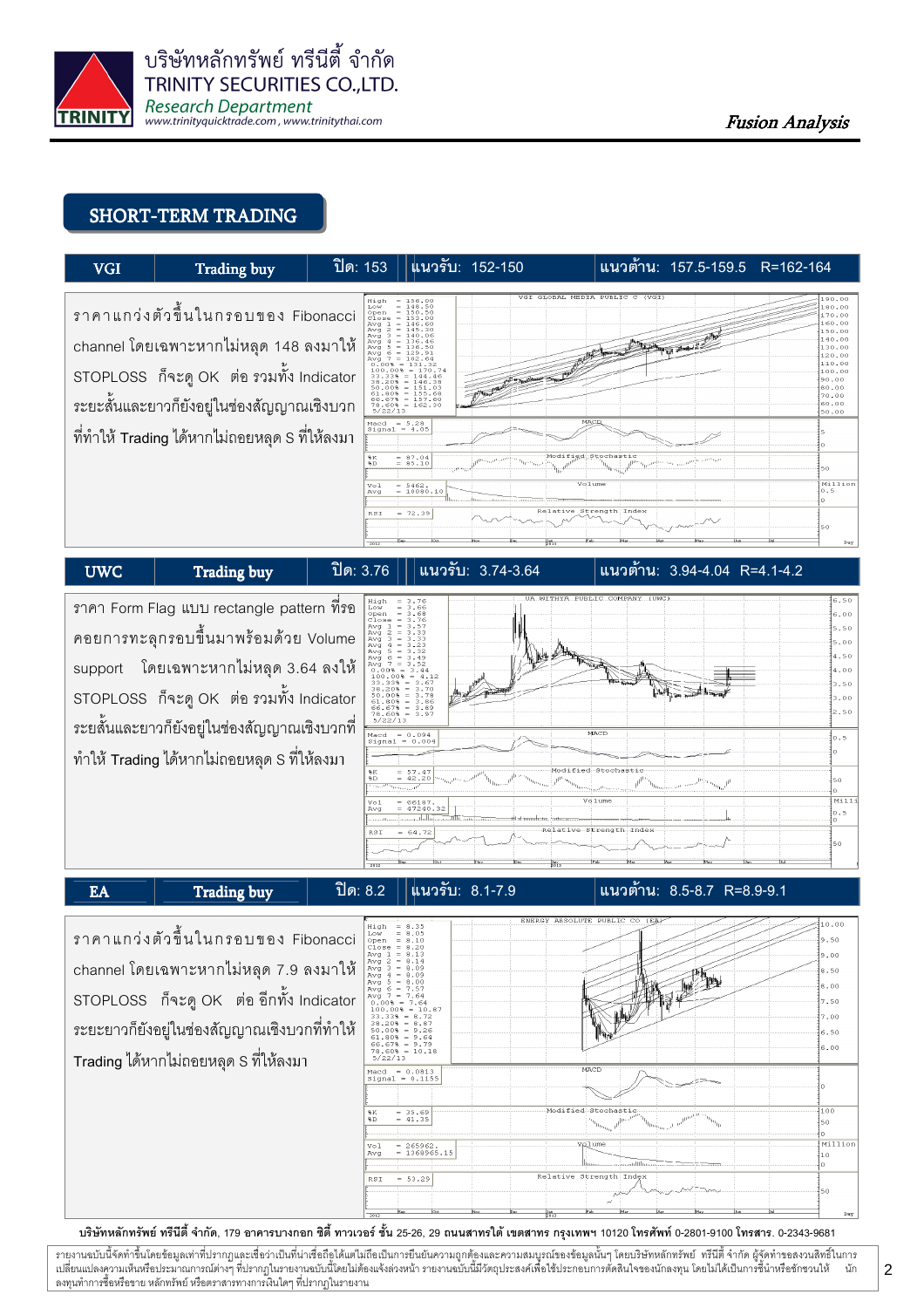

# SHORT-TERM TRADING

| <b>VGI</b>                                                                                   | Trading buy                                                                                                               | ปิด: 153                                                                                                                 | แนวรับ: 152-150                                                                                                                                                                                                                                                                                                        | แนวต้ำน: 157.5-159.5 R=162-164                                                                                                        |     |
|----------------------------------------------------------------------------------------------|---------------------------------------------------------------------------------------------------------------------------|--------------------------------------------------------------------------------------------------------------------------|------------------------------------------------------------------------------------------------------------------------------------------------------------------------------------------------------------------------------------------------------------------------------------------------------------------------|---------------------------------------------------------------------------------------------------------------------------------------|-----|
|                                                                                              | ราคาแกว่งตัวขึ้นในกรอบของ Fibonacci<br>channel โดยเฉพาะหากไม่หลุด 148 ลงมาให้<br>STOPLOSS ก็จะดู OK ต่อ รวมทั้ง Indicator | High<br>Low<br>Open<br>Ava 1<br>Avg $2 = 145.30$<br>Avg<br>Avg<br>Ava<br>Avg $7 = 102.64$<br>$0.008 = 131.32$<br>5/22/13 | VGI GLOBAL MEDIA PUBLIC C (VGI)<br>$= 156.00$<br>$= 148.50$<br>$= 150.50$<br>$= 153.00$<br>$= 146.60$<br>$3 = 140.06$<br>$-136.46$<br>$5 = 136.50$<br>$6 = 129.91$<br>$100.008 = 170.74$<br>$33.338 = 144.46$<br>$38.20% = 146.38$<br>$50.008 = 151.03$<br>$61.80% = 155.68$<br>$66.67% = 157.60$<br>$78.60% = 162.30$ | 190.00<br>180.00<br>170.00<br>160.00<br>150.00<br>140.00<br>130.00<br>120.00<br>110.00<br>100.00<br>190.00<br>80.00<br>70.00<br>60.00 |     |
| ระยะสั้นและยาวก็ยังอยู่ในช่องสัญญาณเชิงบวก<br>ที่ทำให้ Trading ได้หากไม่ถอยหลุด S ที่ให้ลงมา |                                                                                                                           |                                                                                                                          | MACD<br>Macd = $5.28$<br>$Signal = 4.05$                                                                                                                                                                                                                                                                               | 50.00                                                                                                                                 |     |
|                                                                                              |                                                                                                                           | 8K<br>%D<br>Vol<br>Avg                                                                                                   | $= 87.04$<br>Modified Stochastic<br>$= 85.10$<br>Volume<br>$= 5462.$<br>$= 10080.10$                                                                                                                                                                                                                                   | 50<br>Million<br>10.5                                                                                                                 |     |
|                                                                                              |                                                                                                                           | RSI                                                                                                                      | Relative<br>$= 72.39$                                                                                                                                                                                                                                                                                                  | Strength: Index<br>50                                                                                                                 | Day |
| <b>UWC</b>                                                                                   | <b>Trading buy</b>                                                                                                        | 9n: 3.76                                                                                                                 | แนวรับ: 3.74-3.64                                                                                                                                                                                                                                                                                                      | แนวต้าน: 3.94-4.04 R=4.1-4.2                                                                                                          |     |

ิราคา Form Flag แบบ rectangle pattern ที่ร<sub>ั</sub>อ คอยการทะลุกรอบขึ้นมาพร้อมด้วย Volume support โดยเฉพาะหากไม่หลุด 3.64 ลงให้ STOPLOSS ก็จะดู OK ต่อ รวมทั้ง Indicator ระยสั้นและยาวก็ยังอยู่ในช่องสัญญาณเชิงบวกที่ ทำให้ Trading ได้หากไม่ถอยหลุด S ที่ให้ลงมา



EA Trading buy  $\begin{vmatrix} \frac{1}{2} & \frac{1}{2} & \frac{1}{2} & \frac{1}{2} & \frac{1}{2} & \frac{1}{2} & \frac{1}{2} & \frac{1}{2} & \frac{1}{2} & \frac{1}{2} & \frac{1}{2} & \frac{1}{2} & \frac{1}{2} & \frac{1}{2} & \frac{1}{2} & \frac{1}{2} & \frac{1}{2} & \frac{1}{2} & \frac{1}{2} & \frac{1}{2} & \frac{1}{2} & \frac{1}{2} & \frac{1}{2} & \frac{1}{2} & \frac{1}{2}$ 

### นนวต้าน: 8.5-8.7 R=8.9-9.1

ราคาแกว่งตัวขึ้นในกรอบของ Fibonacci channel โดยเฉพาะหากไม่หลุด 7.9 ลงมาให้ STOPLOSS ก็จะดู OK ต่อ อีกทั้ง Indicator ระยะยาวก็ยังอยู่ในช่องสัญญาณเชิงบวกที่ทำให้ Trading ได้หากไม่ถอยหลุด S ที่ให้ลงมา



บริษัทหลักทรัพย์ ทรีนีตี้ จำกัด, 179 อาคารบางกอก ซิตี้ ทาวเวอร์ ชั้น 25-26, 29 ถนนสาทรใต้ เตตสาห กรุงเทพฯ 10120 โทรศัพท์ 0-2801-9100 โทรสาร. 0-2343-9681

รายงานฉบับนี้จัดทำขึ้นโดยข้อมูลเท่าที่ปรากฏและเชื่อว่าเป็นที่มากขึ้นตั้งเป็นก็ตะบนการตูกต้องและความสมบูรณ์ของข้อมูลนั้นๆ โดยบริษัทหลักทรัพย์ ทรีนี้ตี้จำกัด ผู้จัดทำขอสงวนสิทธิ์ในการ  $\ddot{\phantom{a}}$ เปลี่ยนแปลงความเห็นหรือประมาณการณ์ต่างๆ ที่ปรากฏในรายงานอบับนี้โดย การกระบบกันไม่ได้รับระบบการตัดสินใจของนักลงทุน โดยไม่ได้เป็นการขึ้นำหรือชักชวนให้ นัก ลงทุนทำการซื้อหรือขาย หลักทรัพย์ หรือตราสารทางการเงินใดๆ ที่ปรากฏในรายงาน